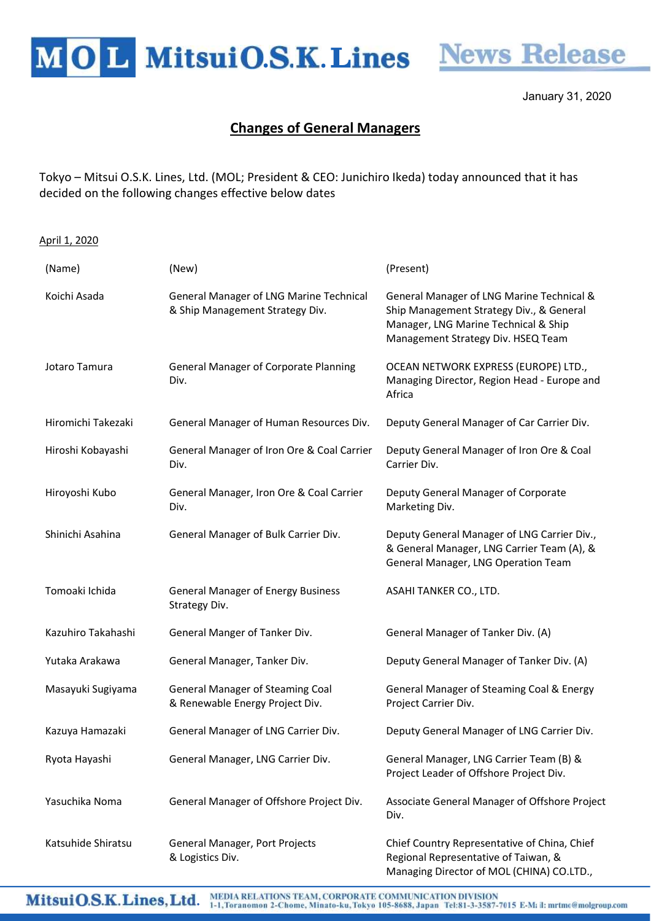MOL MitsuiO.S.K. Lines News Release



January 31, 2020

## Changes of General Managers

Tokyo – Mitsui O.S.K. Lines, Ltd. (MOL; President & CEO: Junichiro Ikeda) today announced that it has decided on the following changes effective below dates

## April 1, 2020

| (Name)             | (New)                                                                      | (Present)                                                                                                                                                           |
|--------------------|----------------------------------------------------------------------------|---------------------------------------------------------------------------------------------------------------------------------------------------------------------|
| Koichi Asada       | General Manager of LNG Marine Technical<br>& Ship Management Strategy Div. | General Manager of LNG Marine Technical &<br>Ship Management Strategy Div., & General<br>Manager, LNG Marine Technical & Ship<br>Management Strategy Div. HSEQ Team |
| Jotaro Tamura      | <b>General Manager of Corporate Planning</b><br>Div.                       | OCEAN NETWORK EXPRESS (EUROPE) LTD.,<br>Managing Director, Region Head - Europe and<br>Africa                                                                       |
| Hiromichi Takezaki | General Manager of Human Resources Div.                                    | Deputy General Manager of Car Carrier Div.                                                                                                                          |
| Hiroshi Kobayashi  | General Manager of Iron Ore & Coal Carrier<br>Div.                         | Deputy General Manager of Iron Ore & Coal<br>Carrier Div.                                                                                                           |
| Hiroyoshi Kubo     | General Manager, Iron Ore & Coal Carrier<br>Div.                           | Deputy General Manager of Corporate<br>Marketing Div.                                                                                                               |
| Shinichi Asahina   | General Manager of Bulk Carrier Div.                                       | Deputy General Manager of LNG Carrier Div.,<br>& General Manager, LNG Carrier Team (A), &<br>General Manager, LNG Operation Team                                    |
| Tomoaki Ichida     | <b>General Manager of Energy Business</b><br>Strategy Div.                 | ASAHI TANKER CO., LTD.                                                                                                                                              |
| Kazuhiro Takahashi | General Manger of Tanker Div.                                              | General Manager of Tanker Div. (A)                                                                                                                                  |
| Yutaka Arakawa     | General Manager, Tanker Div.                                               | Deputy General Manager of Tanker Div. (A)                                                                                                                           |
| Masayuki Sugiyama  | <b>General Manager of Steaming Coal</b><br>& Renewable Energy Project Div. | General Manager of Steaming Coal & Energy<br>Project Carrier Div.                                                                                                   |
| Kazuya Hamazaki    | General Manager of LNG Carrier Div.                                        | Deputy General Manager of LNG Carrier Div.                                                                                                                          |
| Ryota Hayashi      | General Manager, LNG Carrier Div.                                          | General Manager, LNG Carrier Team (B) &<br>Project Leader of Offshore Project Div.                                                                                  |
| Yasuchika Noma     | General Manager of Offshore Project Div.                                   | Associate General Manager of Offshore Project<br>Div.                                                                                                               |
| Katsuhide Shiratsu | General Manager, Port Projects<br>& Logistics Div.                         | Chief Country Representative of China, Chief<br>Regional Representative of Taiwan, &                                                                                |

Managing Director of MOL (CHINA) CO.LTD.,